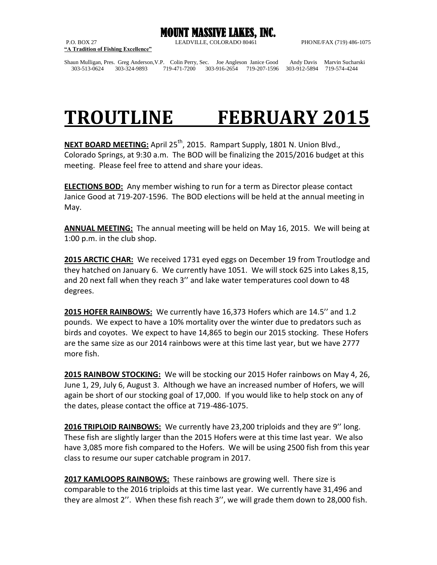

**"A Tradition of Fishing Excellence"**

P.O. BOX 27 LEADVILLE, COLORADO 80461 PHONE/FAX (719) 486-1075

Shaun Mulligan, Pres. Greg Anderson,V.P. Colin Perry, Sec. Joe Angleson Janice Good Andy Davis Marvin Sucharski 303-513-0624 303-324-9893 719-471-7200 303-916-2654 719-207-1596 303-912-5894 719-574-4244

## **TROUTLINE FEBRUARY 2015**

**NEXT BOARD MEETING:** April 25<sup>th</sup>, 2015. Rampart Supply, 1801 N. Union Blvd., Colorado Springs, at 9:30 a.m. The BOD will be finalizing the 2015/2016 budget at this meeting. Please feel free to attend and share your ideas.

**ELECTIONS BOD:** Any member wishing to run for a term as Director please contact Janice Good at 719-207-1596. The BOD elections will be held at the annual meeting in May.

**ANNUAL MEETING:** The annual meeting will be held on May 16, 2015. We will being at 1:00 p.m. in the club shop.

**2015 ARCTIC CHAR:** We received 1731 eyed eggs on December 19 from Troutlodge and they hatched on January 6. We currently have 1051. We will stock 625 into Lakes 8,15, and 20 next fall when they reach 3'' and lake water temperatures cool down to 48 degrees.

**2015 HOFER RAINBOWS:** We currently have 16,373 Hofers which are 14.5'' and 1.2 pounds. We expect to have a 10% mortality over the winter due to predators such as birds and coyotes. We expect to have 14,865 to begin our 2015 stocking. These Hofers are the same size as our 2014 rainbows were at this time last year, but we have 2777 more fish.

**2015 RAINBOW STOCKING:** We will be stocking our 2015 Hofer rainbows on May 4, 26, June 1, 29, July 6, August 3. Although we have an increased number of Hofers, we will again be short of our stocking goal of 17,000. If you would like to help stock on any of the dates, please contact the office at 719-486-1075.

**2016 TRIPLOID RAINBOWS:** We currently have 23,200 triploids and they are 9'' long. These fish are slightly larger than the 2015 Hofers were at this time last year. We also have 3,085 more fish compared to the Hofers. We will be using 2500 fish from this year class to resume our super catchable program in 2017.

**2017 KAMLOOPS RAINBOWS:** These rainbows are growing well. There size is comparable to the 2016 triploids at this time last year. We currently have 31,496 and they are almost 2''. When these fish reach 3'', we will grade them down to 28,000 fish.